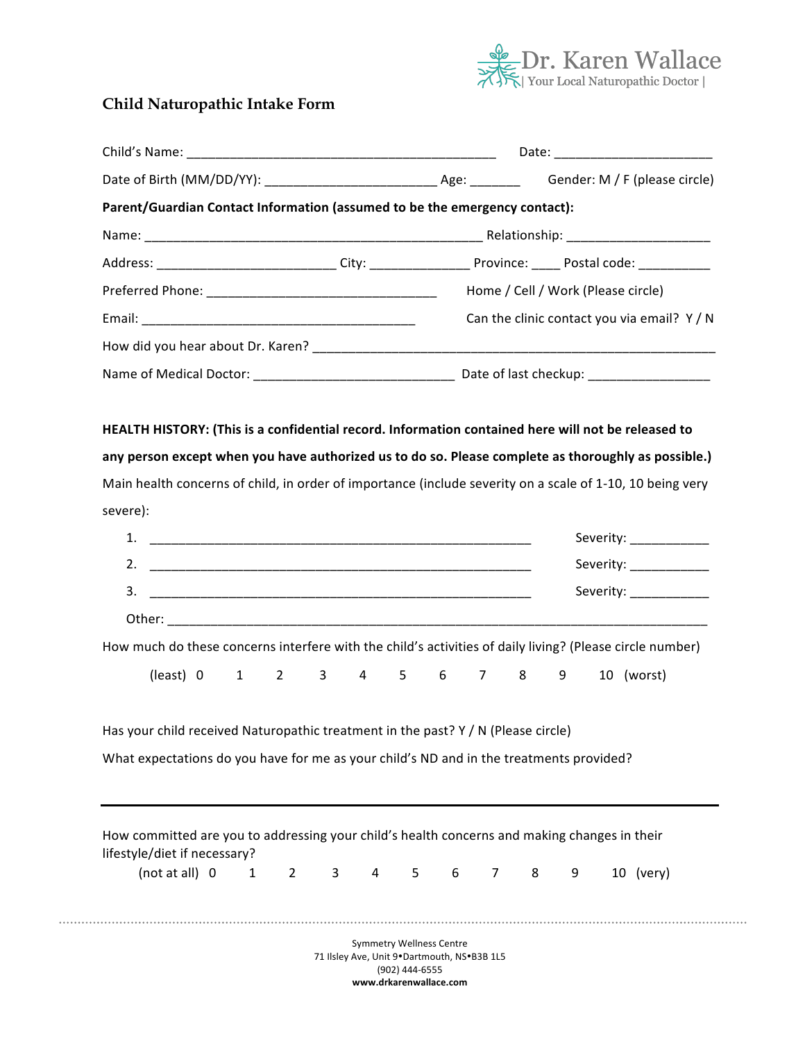

# **Child Naturopathic Intake Form**

|                                                                                                                              | Gender: M / F (please circle)                                                                                                                                                                                    |  |  |  |
|------------------------------------------------------------------------------------------------------------------------------|------------------------------------------------------------------------------------------------------------------------------------------------------------------------------------------------------------------|--|--|--|
| Parent/Guardian Contact Information (assumed to be the emergency contact):                                                   |                                                                                                                                                                                                                  |  |  |  |
|                                                                                                                              |                                                                                                                                                                                                                  |  |  |  |
|                                                                                                                              |                                                                                                                                                                                                                  |  |  |  |
|                                                                                                                              | Home / Cell / Work (Please circle)                                                                                                                                                                               |  |  |  |
|                                                                                                                              | Can the clinic contact you via email? $Y/N$                                                                                                                                                                      |  |  |  |
|                                                                                                                              |                                                                                                                                                                                                                  |  |  |  |
|                                                                                                                              |                                                                                                                                                                                                                  |  |  |  |
| severe):                                                                                                                     | any person except when you have authorized us to do so. Please complete as thoroughly as possible.)<br>Main health concerns of child, in order of importance (include severity on a scale of 1-10, 10 being very |  |  |  |
|                                                                                                                              | Severity: _____________                                                                                                                                                                                          |  |  |  |
|                                                                                                                              | Severity: ______________                                                                                                                                                                                         |  |  |  |
|                                                                                                                              | Severity: ______________                                                                                                                                                                                         |  |  |  |
|                                                                                                                              |                                                                                                                                                                                                                  |  |  |  |
|                                                                                                                              | How much do these concerns interfere with the child's activities of daily living? (Please circle number)                                                                                                         |  |  |  |
| (least) 0<br>$3^{\circ}$<br>$4 \quad$<br>$2^{\circ}$<br>$1 \quad$                                                            | $6\overline{6}$<br>$5 -$<br>$7 \quad 8$<br>9<br>10 (worst)                                                                                                                                                       |  |  |  |
|                                                                                                                              |                                                                                                                                                                                                                  |  |  |  |
| Has your child received Naturopathic treatment in the past? Y / N (Please circle)                                            |                                                                                                                                                                                                                  |  |  |  |
| What expectations do you have for me as your child's ND and in the treatments provided?                                      |                                                                                                                                                                                                                  |  |  |  |
|                                                                                                                              |                                                                                                                                                                                                                  |  |  |  |
|                                                                                                                              |                                                                                                                                                                                                                  |  |  |  |
| How committed are you to addressing your child's health concerns and making changes in their<br>lifestyle/diet if necessary? |                                                                                                                                                                                                                  |  |  |  |
| (not at all) 0<br>$\mathbf{1}$<br>$\mathbf{2}$<br>3<br>4                                                                     | 10 (very)<br>5<br>$\overline{7}$<br>9<br>6<br>8                                                                                                                                                                  |  |  |  |
|                                                                                                                              |                                                                                                                                                                                                                  |  |  |  |
|                                                                                                                              | <b>Symmetry Wellness Centre</b>                                                                                                                                                                                  |  |  |  |
|                                                                                                                              |                                                                                                                                                                                                                  |  |  |  |

**www.drkarenwallace.com**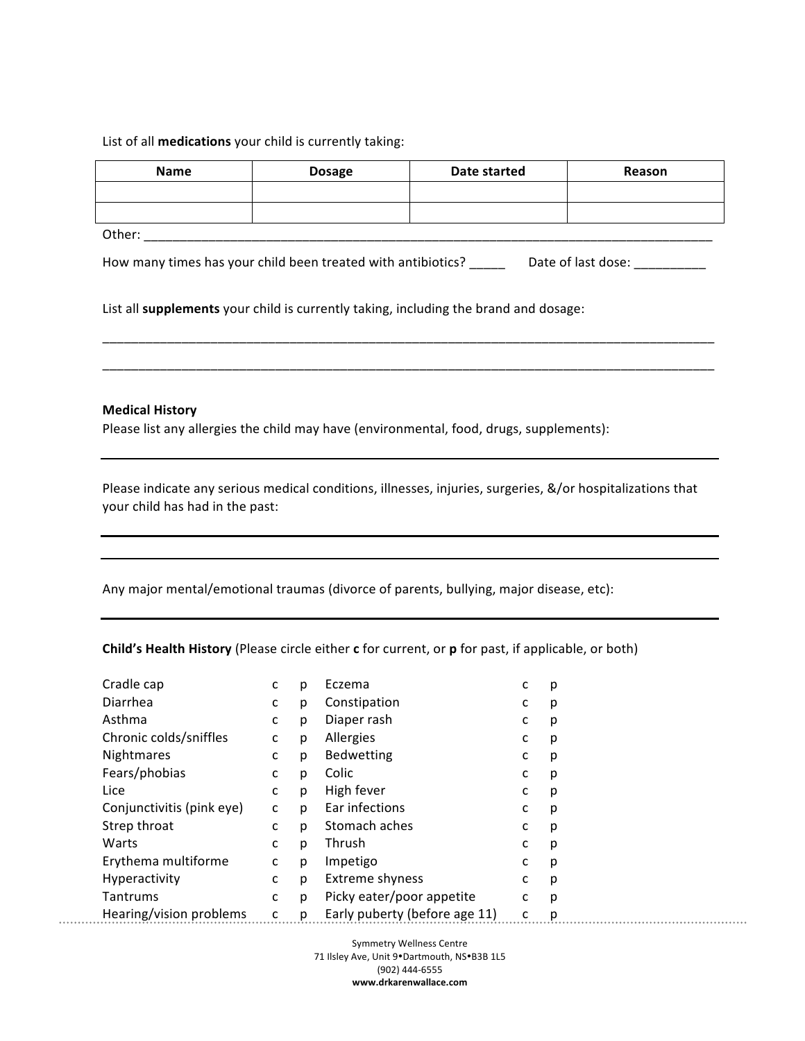## List of all **medications** your child is currently taking:

| <b>Name</b> | <b>Dosage</b> | Date started | Reason |
|-------------|---------------|--------------|--------|
|             |               |              |        |
|             |               |              |        |
| Other:      |               |              |        |

How many times has your child been treated with antibiotics? \_\_\_\_\_\_ Date of last dose: \_\_\_\_\_\_\_\_\_

\_\_\_\_\_\_\_\_\_\_\_\_\_\_\_\_\_\_\_\_\_\_\_\_\_\_\_\_\_\_\_\_\_\_\_\_\_\_\_\_\_\_\_\_\_\_\_\_\_\_\_\_\_\_\_\_\_\_\_\_\_\_\_\_\_\_\_\_\_\_\_\_\_\_\_\_\_\_\_\_\_\_\_\_\_

\_\_\_\_\_\_\_\_\_\_\_\_\_\_\_\_\_\_\_\_\_\_\_\_\_\_\_\_\_\_\_\_\_\_\_\_\_\_\_\_\_\_\_\_\_\_\_\_\_\_\_\_\_\_\_\_\_\_\_\_\_\_\_\_\_\_\_\_\_\_\_\_\_\_\_\_\_\_\_\_\_\_\_\_\_

List all **supplements** your child is currently taking, including the brand and dosage:

## **Medical History**

Please list any allergies the child may have (environmental, food, drugs, supplements):

Please indicate any serious medical conditions, illnesses, injuries, surgeries, &/or hospitalizations that your child has had in the past:

Any major mental/emotional traumas (divorce of parents, bullying, major disease, etc):

**Child's Health History** (Please circle either **c** for current, or **p** for past, if applicable, or both)

| Cradle cap                | с | р | Eczema                        | c | p |
|---------------------------|---|---|-------------------------------|---|---|
| Diarrhea                  | с | p | Constipation                  | c | p |
| Asthma                    | с | p | Diaper rash                   | c | p |
| Chronic colds/sniffles    | C | p | Allergies                     | c | p |
| Nightmares                | с | p | Bedwetting                    | c | p |
| Fears/phobias             | c | p | Colic                         | c | p |
| Lice                      | C | p | High fever                    | c | p |
| Conjunctivitis (pink eye) | C | p | Ear infections                | c | р |
| Strep throat              | с | p | Stomach aches                 | c | p |
| Warts                     | с | p | Thrush                        | c | p |
| Erythema multiforme       | c | p | Impetigo                      | c | p |
| Hyperactivity             | c | p | Extreme shyness               | c | p |
| Tantrums                  | с | p | Picky eater/poor appetite     | C | p |
| Hearing/vision problems   | с | p | Early puberty (before age 11) | c | р |

Symmetry Wellness Centre 71 Ilsley Ave, Unit 9•Dartmouth, NS•B3B 1L5 (902) 444-6555 **www.drkarenwallace.com**